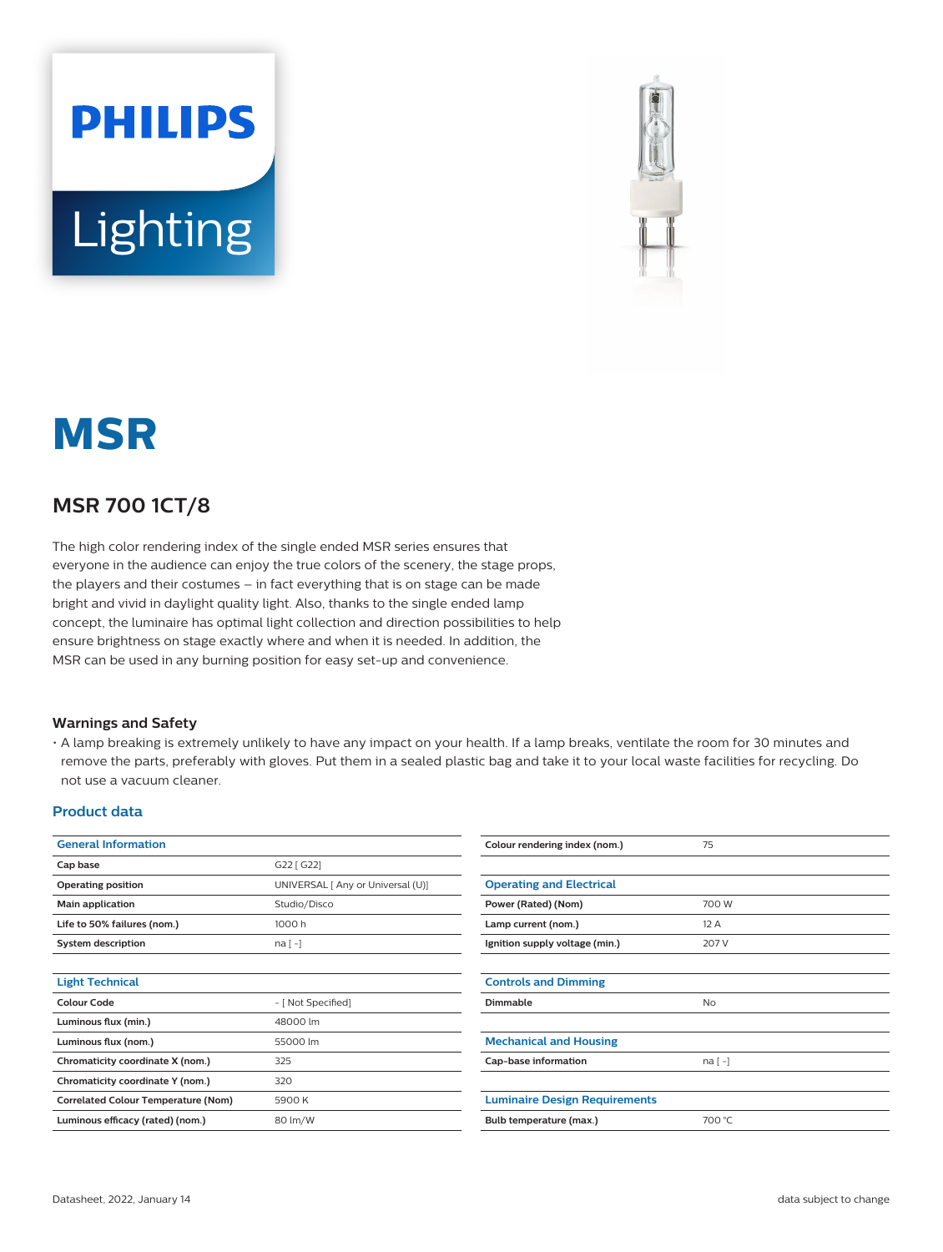



# **MSR**

## **MSR 700 1CT/8**

The high color rendering index of the single ended MSR series ensures that everyone in the audience can enjoy the true colors of the scenery, the stage props, the players and their costumes – in fact everything that is on stage can be made bright and vivid in daylight quality light. Also, thanks to the single ended lamp concept, the luminaire has optimal light collection and direction possibilities to help ensure brightness on stage exactly where and when it is needed. In addition, the MSR can be used in any burning position for easy set-up and convenience.

#### **Warnings and Safety**

• A lamp breaking is extremely unlikely to have any impact on your health. If a lamp breaks, ventilate the room for 30 minutes and remove the parts, preferably with gloves. Put them in a sealed plastic bag and take it to your local waste facilities for recycling. Do not use a vacuum cleaner.

#### **Product data**

| <b>General Information</b>                 |                                   | Colour rendering index (nom.)        | 75        |
|--------------------------------------------|-----------------------------------|--------------------------------------|-----------|
| Cap base                                   | G22 [ G22]                        |                                      |           |
| Operating position                         | UNIVERSAL [ Any or Universal (U)] | <b>Operating and Electrical</b>      |           |
| Main application                           | Studio/Disco                      | Power (Rated) (Nom)                  | 700 W     |
| Life to 50% failures (nom.)                | 1000 h                            | Lamp current (nom.)                  | 12 A      |
| <b>System description</b>                  | $na[-]$                           | Ignition supply voltage (min.)       | 207 V     |
|                                            |                                   |                                      |           |
| <b>Light Technical</b>                     |                                   | <b>Controls and Dimming</b>          |           |
| <b>Colour Code</b>                         | - [ Not Specified]                | Dimmable                             | <b>No</b> |
| Luminous flux (min.)                       | 48000 lm                          |                                      |           |
| Luminous flux (nom.)                       | 55000 lm                          | <b>Mechanical and Housing</b>        |           |
| Chromaticity coordinate X (nom.)           | 325                               | Cap-base information                 | na [-]    |
| Chromaticity coordinate Y (nom.)           | 320                               |                                      |           |
| <b>Correlated Colour Temperature (Nom)</b> | 5900 K                            | <b>Luminaire Design Requirements</b> |           |
| Luminous efficacy (rated) (nom.)           | 80 lm/W                           | Bulb temperature (max.)              | 700 °C    |
|                                            |                                   |                                      |           |